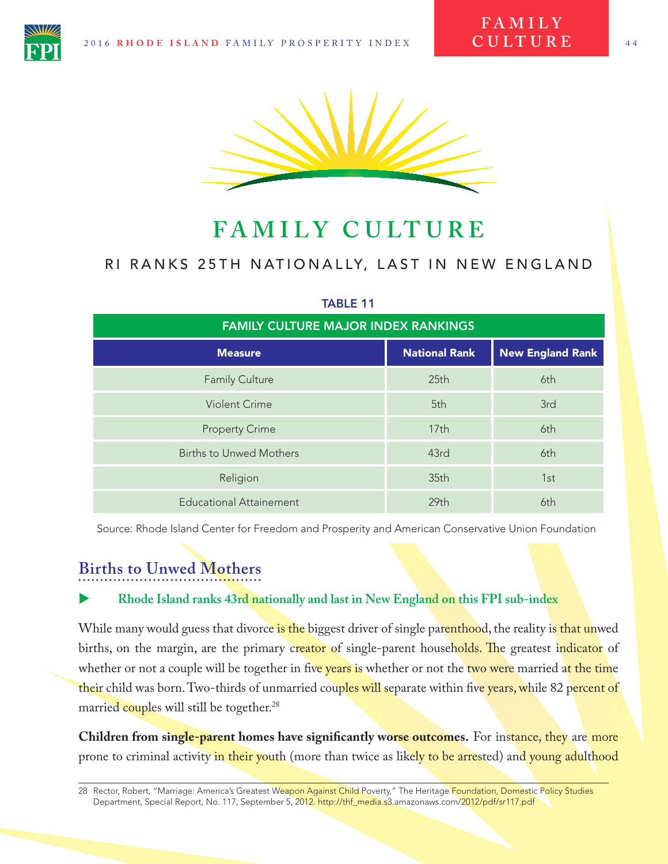**FAMILY C ULT U RE**



# **FA M I LY C U LT U R E**

### RI RANKS 25TH NATIONALLY, LAST IN NEW ENGLAND

| <b>FAMILY CULTURE MAJOR INDEX RANKINGS</b> |                      |                         |
|--------------------------------------------|----------------------|-------------------------|
| <b>Measure</b>                             | <b>National Rank</b> | <b>New England Rank</b> |
| <b>Family Culture</b>                      | 25 <sub>th</sub>     | 6th                     |
| <b>Violent Crime</b>                       | 5th                  | 3rd                     |
| <b>Property Crime</b>                      | 17 <sub>th</sub>     | 6th                     |
| <b>Births to Unwed Mothers</b>             | 43rd                 | 6th                     |
| Religion                                   | 35th                 | 1st                     |
| <b>Educational Attainement</b>             | 29 <sub>th</sub>     | 6th                     |

#### TABLE 11

Source: Rhode Island Center for Freedom and Prosperity and American Conservative Union Foundation

## **Births to Unwed Mothers**

#### X **Rhode Island ranks 43rd nationally and last in New England on this FPI sub-index**

While many would guess that divorce is the biggest driver of single parenthood, the reality is that unwed births, on the margin, are the primary creator of single-parent households. The greatest indicator of whether or not a couple will be together in five years is whether or not the two were married at the time their child was born. Two-thirds of unmarried couples will separate within five years, while 82 percent of married couples will still be together.<sup>28</sup>

**Children from single-parent homes have signifcantly worse outcomes.** For instance, they are more prone to criminal activity in their youth (more than twice as likely to be arrested) and young adulthood

28 Rector, Robert, "Marriage: America's Greatest Weapon Against Child Poverty," The Heritage Foundation, Domestic Policy Studies Department, Special Report, No. 117, September 5, 2012. http://thf\_media.s3.amazonaws.com/2012/pdf/sr117.pdf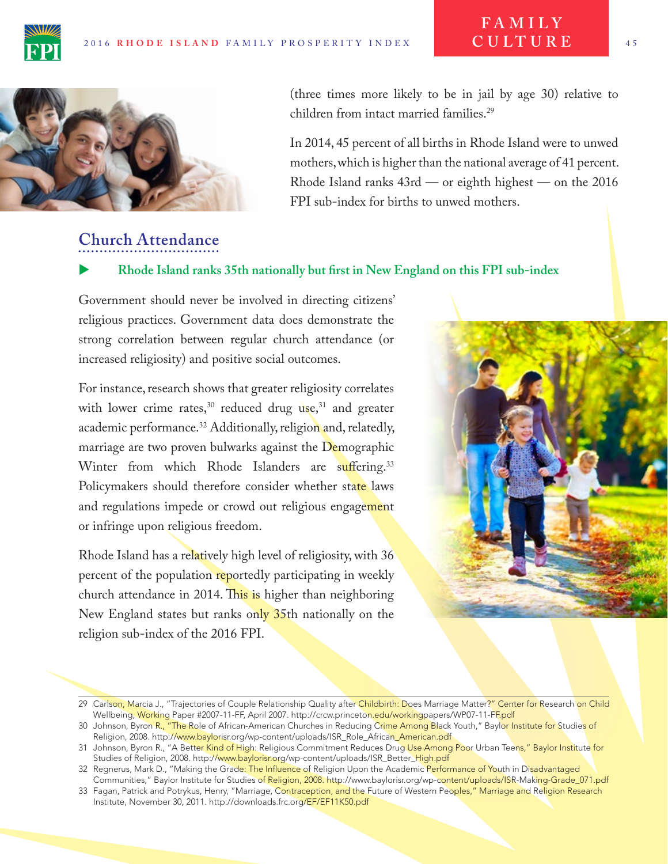



(three times more likely to be in jail by age 30) relative to children from intact married families.29

In 2014, 45 percent of all births in Rhode Island were to unwed mothers, which is higher than the national average of 41 percent. Rhode Island ranks 43rd — or eighth highest — on the 2016 FPI sub-index for births to unwed mothers.

## **Church Attendance**

#### X **Rhode Island ranks 35th nationally but frst in New England on this FPI sub-index**

Government should never be involved in directing citizens' religious practices. Government data does demonstrate the strong correlation between regular church attendance (or increased religiosity) and positive social outcomes.

For instance, research shows that greater religiosity correlates with lower crime rates,<sup>30</sup> reduced drug use,<sup>31</sup> and greater academic performance.<sup>32</sup> Additionally, religion and, relatedly, marriage are two proven bulwarks against the Demographic Winter from which Rhode Islanders are suffering.<sup>33</sup> Policymakers should therefore consider whether state laws and regulations impede or crowd out religious engagement or infringe upon religious freedom.

Rhode Island has a relatively high level of religiosity, with 36 percent of the population reportedly participating in weekly church attendance in 2014. This is higher than neighboring New England states but ranks only 35th nationally on the religion sub-index of the 2016 FPI.



<sup>29</sup> Carlson, Marcia J., "Trajectories of Couple Relationship Quality after Childbirth: Does Marriage Matter?" Center for Research on Child Wellbeing, Working Paper #2007-11-FF, April 2007. http://crcw.princeton.edu/workingpapers/WP07-11-FF.pdf

<sup>30</sup> Johnson, Byron R., "The Role of African-American Churches in Reducing Crime Among Black Youth," Baylor Institute for Studies of Religion, 2008. http://www.baylorisr.org/wp-content/uploads/ISR\_Role\_African\_American.pdf

<sup>31</sup> Johnson, Byron R., "A Better Kind of High: Religious Commitment Reduces Drug Use Among Poor Urban Teens," Baylor Institute for Studies of Religion, 2008. http://www.baylorisr.org/wp-content/uploads/ISR\_Better\_High.pdf

<sup>32</sup> Regnerus, Mark D., "Making the Grade: The Influence of Religion Upon the Academic Performance of Youth in Disadvantaged

Communities," Baylor Institute for Studies of Religion, 2008. http://www.baylorisr.org/wp-content/uploads/ISR-Making-Grade\_071.pdf 33 Fagan, Patrick and Potrykus, Henry, "Marriage, Contraception, and the Future of Western Peoples," Marriage and Religion Research Institute, November 30, 2011. http://downloads.frc.org/EF/EF11K50.pdf